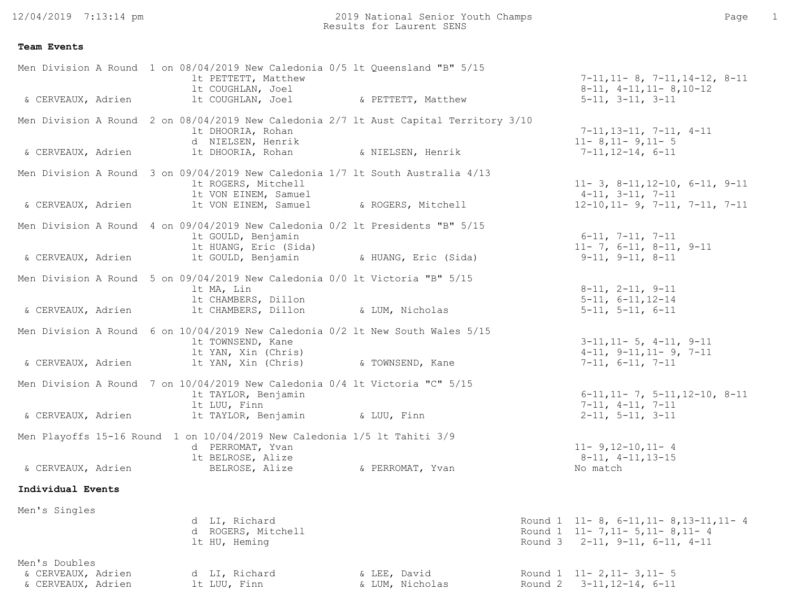12/04/2019 7:13:14 pm

2019 National Senior Youth Champs Page 1 Results for Laurent SENS

## **Team Events**

| & CERVEAUX, Adrien                                        |  | Men Division A Round 1 on 08/04/2019 New Caledonia 0/5 lt Queensland "B" 5/15<br>1t PETTETT, Matthew<br>lt COUGHLAN, Joel<br>lt COUGHLAN, Joel | & PETTETT, Matthew              | $7-11, 11-8, 7-11, 14-12, 8-11$<br>$8-11, 4-11, 11-8, 10-12$<br>$5-11$ , $3-11$ , $3-11$                  |
|-----------------------------------------------------------|--|------------------------------------------------------------------------------------------------------------------------------------------------|---------------------------------|-----------------------------------------------------------------------------------------------------------|
|                                                           |  | Men Division A Round 2 on 08/04/2019 New Caledonia 2/7 lt Aust Capital Territory 3/10<br>1t DHOORIA, Rohan                                     |                                 | $7-11, 13-11, 7-11, 4-11$                                                                                 |
| & CERVEAUX, Adrien                                        |  | d NIELSEN, Henrik<br>lt DHOORIA, Rohan                                                                                                         | & NIELSEN, Henrik               | $11 - 8$ , 11 - 9, 11 - 5<br>$7-11, 12-14, 6-11$                                                          |
|                                                           |  | Men Division A Round 3 on 09/04/2019 New Caledonia 1/7 lt South Australia 4/13<br>1t ROGERS, Mitchell<br>It VON EINEM, Samuel                  |                                 | $11 - 3$ , $8 - 11$ , $12 - 10$ , $6 - 11$ , $9 - 11$<br>$4-11$ , $3-11$ , $7-11$                         |
| & CERVEAUX, Adrien                                        |  | 1t VON EINEM, Samuel                                                                                                                           | & ROGERS, Mitchell              | $12-10, 11-9, 7-11, 7-11, 7-11$                                                                           |
|                                                           |  | Men Division A Round 4 on 09/04/2019 New Caledonia 0/2 lt Presidents "B" 5/15<br>lt GOULD, Benjamin<br>It HUANG, Eric (Sida)                   |                                 | $6-11, 7-11, 7-11$<br>$11 - 7, 6 - 11, 8 - 11, 9 - 11$                                                    |
| & CERVEAUX, Adrien                                        |  | It GOULD, Benjamin (San MuANG, Eric (Sida)                                                                                                     |                                 | $9-11, 9-11, 8-11$                                                                                        |
|                                                           |  | Men Division A Round 5 on 09/04/2019 New Caledonia 0/0 lt Victoria "B" 5/15<br>lt MA, Lin                                                      |                                 | $8-11$ , $2-11$ , $9-11$                                                                                  |
| & CERVEAUX, Adrien                                        |  | lt CHAMBERS, Dillon<br>1t CHAMBERS, Dillon                                                                                                     | & LUM, Nicholas                 | $5 - 11, 6 - 11, 12 - 14$<br>$5-11, 5-11, 6-11$                                                           |
|                                                           |  | Men Division A Round 6 on 10/04/2019 New Caledonia 0/2 lt New South Wales 5/15<br>1t TOWNSEND, Kane<br>It YAN, Xin (Chris)                     |                                 | $3-11, 11-5, 4-11, 9-11$<br>$4-11, 9-11, 11-9, 7-11$                                                      |
| & CERVEAUX, Adrien                                        |  | 1t YAN, Xin (Chris) 6 TOWNSEND, Kane                                                                                                           |                                 | $7-11, 6-11, 7-11$                                                                                        |
|                                                           |  | Men Division A Round 7 on 10/04/2019 New Caledonia 0/4 lt Victoria "C" 5/15<br>lt TAYLOR, Benjamin<br>lt LUU, Finn                             |                                 | $6-11, 11-7, 5-11, 12-10, 8-11$<br>$7-11, 4-11, 7-11$                                                     |
| & CERVEAUX, Adrien                                        |  | 1t TAYLOR, Benjamin ( & LUU, Finn                                                                                                              |                                 | $2-11, 5-11, 3-11$                                                                                        |
|                                                           |  | Men Playoffs 15-16 Round 1 on 10/04/2019 New Caledonia 1/5 lt Tahiti 3/9<br>d PERROMAT, Yvan<br>lt BELROSE, Alize                              |                                 | $11 - 9, 12 - 10, 11 - 4$<br>$8-11, 4-11, 13-15$                                                          |
| & CERVEAUX, Adrien                                        |  | BELROSE, Alize                                                                                                                                 | & PERROMAT, Yvan                | No match                                                                                                  |
| Individual Events                                         |  |                                                                                                                                                |                                 |                                                                                                           |
| Men's Singles                                             |  | d LI, Richard<br>d ROGERS, Mitchell<br>lt HU, Heming                                                                                           |                                 | Round 1 11-8, 6-11, 11-8, 13-11, 11-4<br>Round 1 11-7, 11-5, 11-8, 11-4<br>Round 3 2-11, 9-11, 6-11, 4-11 |
| Men's Doubles<br>& CERVEAUX, Adrien<br>& CERVEAUX, Adrien |  | d LI, Richard<br>lt LUU, Finn                                                                                                                  | & LEE, David<br>& LUM, Nicholas | Round 1 11-2, 11-3, 11-5<br>Round 2 3-11, 12-14, 6-11                                                     |